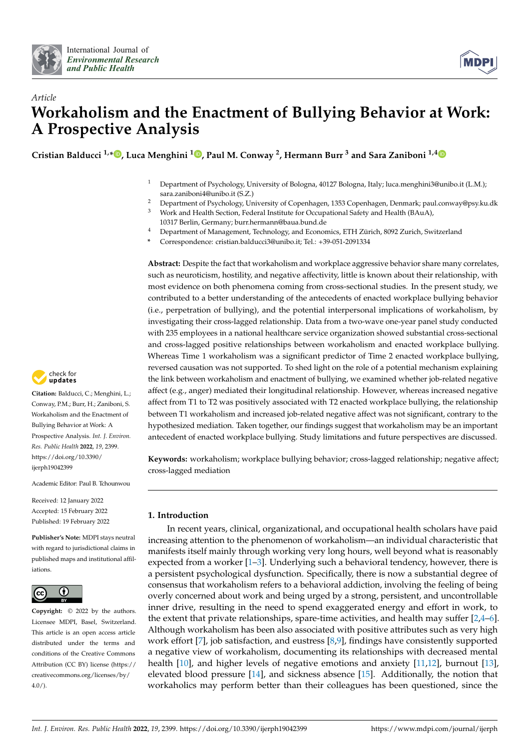



# *Article* **Workaholism and the Enactment of Bullying Behavior at Work: A Prospective Analysis**

**Cristian Balducci 1,\* [,](https://orcid.org/0000-0002-5998-9971) Luca Menghini <sup>1</sup> [,](https://orcid.org/0000-0001-6494-3970) Paul M. Conway <sup>2</sup> , Hermann Burr <sup>3</sup> and Sara Zaniboni 1,[4](https://orcid.org/0000-0002-7963-6057)**

- <sup>1</sup> Department of Psychology, University of Bologna, 40127 Bologna, Italy; luca.menghini3@unibo.it (L.M.); sara.zaniboni4@unibo.it (S.Z.)
- <sup>2</sup> Department of Psychology, University of Copenhagen, 1353 Copenhagen, Denmark; paul.conway@psy.ku.dk<br><sup>3</sup> Wark and Haelth Section, Esdaml Institute for Occupational Sefety and Haelth (BAuA).
- <sup>3</sup> Work and Health Section, Federal Institute for Occupational Safety and Health (BAuA), 10317 Berlin, Germany; burr.hermann@baua.bund.de
- <sup>4</sup> Department of Management, Technology, and Economics, ETH Zürich, 8092 Zurich, Switzerland
- **\*** Correspondence: cristian.balducci3@unibo.it; Tel.: +39-051-2091334

**Abstract:** Despite the fact that workaholism and workplace aggressive behavior share many correlates, such as neuroticism, hostility, and negative affectivity, little is known about their relationship, with most evidence on both phenomena coming from cross-sectional studies. In the present study, we contributed to a better understanding of the antecedents of enacted workplace bullying behavior (i.e., perpetration of bullying), and the potential interpersonal implications of workaholism, by investigating their cross-lagged relationship. Data from a two-wave one-year panel study conducted with 235 employees in a national healthcare service organization showed substantial cross-sectional and cross-lagged positive relationships between workaholism and enacted workplace bullying. Whereas Time 1 workaholism was a significant predictor of Time 2 enacted workplace bullying, reversed causation was not supported. To shed light on the role of a potential mechanism explaining the link between workaholism and enactment of bullying, we examined whether job-related negative affect (e.g., anger) mediated their longitudinal relationship. However, whereas increased negative affect from T1 to T2 was positively associated with T2 enacted workplace bullying, the relationship between T1 workaholism and increased job-related negative affect was not significant, contrary to the hypothesized mediation. Taken together, our findings suggest that workaholism may be an important antecedent of enacted workplace bullying. Study limitations and future perspectives are discussed.

**Keywords:** workaholism; workplace bullying behavior; cross-lagged relationship; negative affect; cross-lagged mediation

## **1. Introduction**

In recent years, clinical, organizational, and occupational health scholars have paid increasing attention to the phenomenon of workaholism—an individual characteristic that manifests itself mainly through working very long hours, well beyond what is reasonably expected from a worker [\[1–](#page-9-0)[3\]](#page-9-1). Underlying such a behavioral tendency, however, there is a persistent psychological dysfunction. Specifically, there is now a substantial degree of consensus that workaholism refers to a behavioral addiction, involving the feeling of being overly concerned about work and being urged by a strong, persistent, and uncontrollable inner drive, resulting in the need to spend exaggerated energy and effort in work, to the extent that private relationships, spare-time activities, and health may suffer  $[2,4-6]$  $[2,4-6]$  $[2,4-6]$ . Although workaholism has been also associated with positive attributes such as very high work effort [\[7\]](#page-9-5), job satisfaction, and eustress [\[8](#page-9-6)[,9\]](#page-10-0), findings have consistently supported a negative view of workaholism, documenting its relationships with decreased mental health [\[10\]](#page-10-1), and higher levels of negative emotions and anxiety [\[11](#page-10-2)[,12\]](#page-10-3), burnout [\[13\]](#page-10-4), elevated blood pressure [\[14\]](#page-10-5), and sickness absence [\[15\]](#page-10-6). Additionally, the notion that workaholics may perform better than their colleagues has been questioned, since the



**Citation:** Balducci, C.; Menghini, L.; Conway, P.M.; Burr, H.; Zaniboni, S. Workaholism and the Enactment of Bullying Behavior at Work: A Prospective Analysis. *Int. J. Environ. Res. Public Health* **2022**, *19*, 2399. [https://doi.org/10.3390/](https://doi.org/10.3390/ijerph19042399) [ijerph19042399](https://doi.org/10.3390/ijerph19042399)

Academic Editor: Paul B. Tchounwou

Received: 12 January 2022 Accepted: 15 February 2022 Published: 19 February 2022

**Publisher's Note:** MDPI stays neutral with regard to jurisdictional claims in published maps and institutional affiliations.



**Copyright:** © 2022 by the authors. Licensee MDPI, Basel, Switzerland. This article is an open access article distributed under the terms and conditions of the Creative Commons Attribution (CC BY) license [\(https://](https://creativecommons.org/licenses/by/4.0/) [creativecommons.org/licenses/by/](https://creativecommons.org/licenses/by/4.0/)  $4.0/$ ).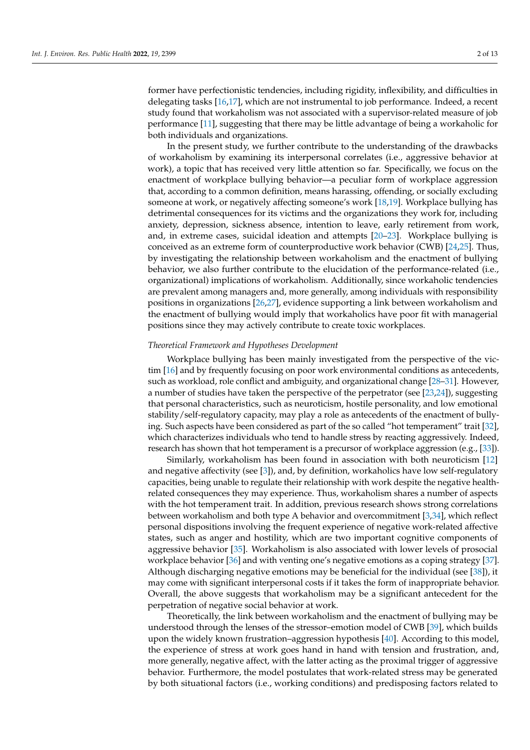former have perfectionistic tendencies, including rigidity, inflexibility, and difficulties in delegating tasks [\[16](#page-10-7)[,17\]](#page-10-8), which are not instrumental to job performance. Indeed, a recent study found that workaholism was not associated with a supervisor-related measure of job performance [\[11\]](#page-10-2), suggesting that there may be little advantage of being a workaholic for both individuals and organizations.

In the present study, we further contribute to the understanding of the drawbacks of workaholism by examining its interpersonal correlates (i.e., aggressive behavior at work), a topic that has received very little attention so far. Specifically, we focus on the enactment of workplace bullying behavior—a peculiar form of workplace aggression that, according to a common definition, means harassing, offending, or socially excluding someone at work, or negatively affecting someone's work [\[18](#page-10-9)[,19\]](#page-10-10). Workplace bullying has detrimental consequences for its victims and the organizations they work for, including anxiety, depression, sickness absence, intention to leave, early retirement from work, and, in extreme cases, suicidal ideation and attempts [\[20](#page-10-11)[–23\]](#page-10-12). Workplace bullying is conceived as an extreme form of counterproductive work behavior (CWB) [\[24](#page-10-13)[,25\]](#page-10-14). Thus, by investigating the relationship between workaholism and the enactment of bullying behavior, we also further contribute to the elucidation of the performance-related (i.e., organizational) implications of workaholism. Additionally, since workaholic tendencies are prevalent among managers and, more generally, among individuals with responsibility positions in organizations [\[26](#page-10-15)[,27\]](#page-10-16), evidence supporting a link between workaholism and the enactment of bullying would imply that workaholics have poor fit with managerial positions since they may actively contribute to create toxic workplaces.

## *Theoretical Framework and Hypotheses Development*

Workplace bullying has been mainly investigated from the perspective of the victim [\[16\]](#page-10-7) and by frequently focusing on poor work environmental conditions as antecedents, such as workload, role conflict and ambiguity, and organizational change [\[28–](#page-10-17)[31\]](#page-10-18). However, a number of studies have taken the perspective of the perpetrator (see [\[23](#page-10-12)[,24\]](#page-10-13)), suggesting that personal characteristics, such as neuroticism, hostile personality, and low emotional stability/self-regulatory capacity, may play a role as antecedents of the enactment of bullying. Such aspects have been considered as part of the so called "hot temperament" trait [\[32\]](#page-10-19), which characterizes individuals who tend to handle stress by reacting aggressively. Indeed, research has shown that hot temperament is a precursor of workplace aggression (e.g., [\[33\]](#page-10-20)).

Similarly, workaholism has been found in association with both neuroticism [\[12\]](#page-10-3) and negative affectivity (see [\[3\]](#page-9-1)), and, by definition, workaholics have low self-regulatory capacities, being unable to regulate their relationship with work despite the negative healthrelated consequences they may experience. Thus, workaholism shares a number of aspects with the hot temperament trait. In addition, previous research shows strong correlations between workaholism and both type A behavior and overcommitment [\[3](#page-9-1)[,34\]](#page-11-0), which reflect personal dispositions involving the frequent experience of negative work-related affective states, such as anger and hostility, which are two important cognitive components of aggressive behavior [\[35\]](#page-11-1). Workaholism is also associated with lower levels of prosocial workplace behavior [\[36\]](#page-11-2) and with venting one's negative emotions as a coping strategy [\[37\]](#page-11-3). Although discharging negative emotions may be beneficial for the individual (see [\[38\]](#page-11-4)), it may come with significant interpersonal costs if it takes the form of inappropriate behavior. Overall, the above suggests that workaholism may be a significant antecedent for the perpetration of negative social behavior at work.

Theoretically, the link between workaholism and the enactment of bullying may be understood through the lenses of the stressor–emotion model of CWB [\[39\]](#page-11-5), which builds upon the widely known frustration–aggression hypothesis [\[40\]](#page-11-6). According to this model, the experience of stress at work goes hand in hand with tension and frustration, and, more generally, negative affect, with the latter acting as the proximal trigger of aggressive behavior. Furthermore, the model postulates that work-related stress may be generated by both situational factors (i.e., working conditions) and predisposing factors related to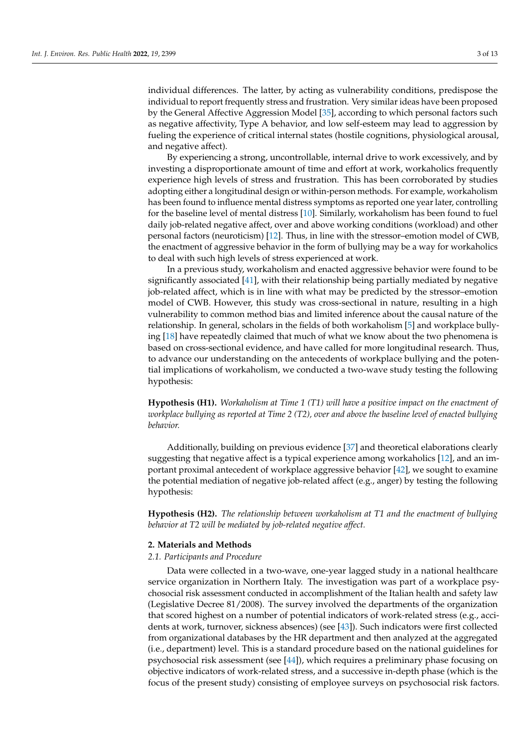individual differences. The latter, by acting as vulnerability conditions, predispose the individual to report frequently stress and frustration. Very similar ideas have been proposed by the General Affective Aggression Model [\[35\]](#page-11-1), according to which personal factors such as negative affectivity, Type A behavior, and low self-esteem may lead to aggression by fueling the experience of critical internal states (hostile cognitions, physiological arousal, and negative affect).

By experiencing a strong, uncontrollable, internal drive to work excessively, and by investing a disproportionate amount of time and effort at work, workaholics frequently experience high levels of stress and frustration. This has been corroborated by studies adopting either a longitudinal design or within-person methods. For example, workaholism has been found to influence mental distress symptoms as reported one year later, controlling for the baseline level of mental distress [\[10\]](#page-10-1). Similarly, workaholism has been found to fuel daily job-related negative affect, over and above working conditions (workload) and other personal factors (neuroticism) [\[12\]](#page-10-3). Thus, in line with the stressor–emotion model of CWB, the enactment of aggressive behavior in the form of bullying may be a way for workaholics to deal with such high levels of stress experienced at work.

In a previous study, workaholism and enacted aggressive behavior were found to be significantly associated [\[41\]](#page-11-7), with their relationship being partially mediated by negative job-related affect, which is in line with what may be predicted by the stressor–emotion model of CWB. However, this study was cross-sectional in nature, resulting in a high vulnerability to common method bias and limited inference about the causal nature of the relationship. In general, scholars in the fields of both workaholism [\[5\]](#page-9-7) and workplace bullying [\[18\]](#page-10-9) have repeatedly claimed that much of what we know about the two phenomena is based on cross-sectional evidence, and have called for more longitudinal research. Thus, to advance our understanding on the antecedents of workplace bullying and the potential implications of workaholism, we conducted a two-wave study testing the following hypothesis:

**Hypothesis (H1).** *Workaholism at Time 1 (T1) will have a positive impact on the enactment of workplace bullying as reported at Time 2 (T2), over and above the baseline level of enacted bullying behavior.*

Additionally, building on previous evidence [\[37\]](#page-11-3) and theoretical elaborations clearly suggesting that negative affect is a typical experience among workaholics [\[12\]](#page-10-3), and an important proximal antecedent of workplace aggressive behavior [\[42\]](#page-11-8), we sought to examine the potential mediation of negative job-related affect (e.g., anger) by testing the following hypothesis:

**Hypothesis (H2).** *The relationship between workaholism at T1 and the enactment of bullying behavior at T2 will be mediated by job-related negative affect.*

## **2. Materials and Methods**

#### *2.1. Participants and Procedure*

Data were collected in a two-wave, one-year lagged study in a national healthcare service organization in Northern Italy. The investigation was part of a workplace psychosocial risk assessment conducted in accomplishment of the Italian health and safety law (Legislative Decree 81/2008). The survey involved the departments of the organization that scored highest on a number of potential indicators of work-related stress (e.g., accidents at work, turnover, sickness absences) (see [\[43\]](#page-11-9)). Such indicators were first collected from organizational databases by the HR department and then analyzed at the aggregated (i.e., department) level. This is a standard procedure based on the national guidelines for psychosocial risk assessment (see [\[44\]](#page-11-10)), which requires a preliminary phase focusing on objective indicators of work-related stress, and a successive in-depth phase (which is the focus of the present study) consisting of employee surveys on psychosocial risk factors.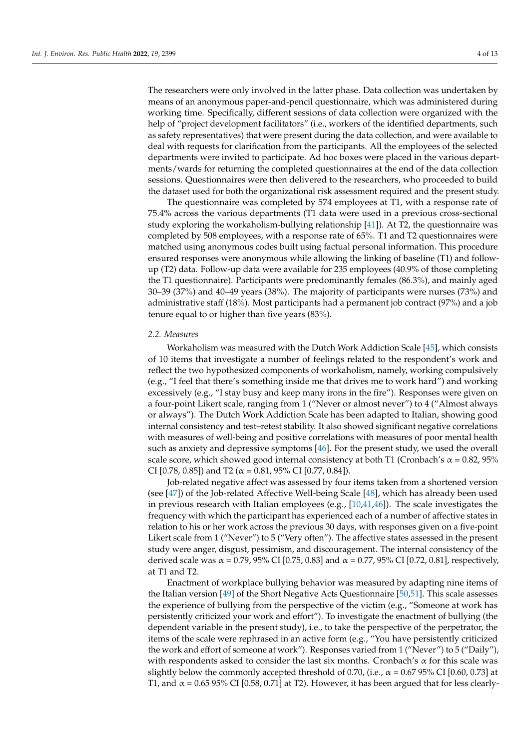The researchers were only involved in the latter phase. Data collection was undertaken by means of an anonymous paper-and-pencil questionnaire, which was administered during working time. Specifically, different sessions of data collection were organized with the help of "project development facilitators" (i.e., workers of the identified departments, such as safety representatives) that were present during the data collection, and were available to deal with requests for clarification from the participants. All the employees of the selected departments were invited to participate. Ad hoc boxes were placed in the various departments/wards for returning the completed questionnaires at the end of the data collection sessions. Questionnaires were then delivered to the researchers, who proceeded to build the dataset used for both the organizational risk assessment required and the present study.

The questionnaire was completed by 574 employees at T1, with a response rate of 75.4% across the various departments (T1 data were used in a previous cross-sectional study exploring the workaholism-bullying relationship [\[41\]](#page-11-7)). At T2, the questionnaire was completed by 508 employees, with a response rate of 65%. T1 and T2 questionnaires were matched using anonymous codes built using factual personal information. This procedure ensured responses were anonymous while allowing the linking of baseline (T1) and followup (T2) data. Follow-up data were available for 235 employees (40.9% of those completing the T1 questionnaire). Participants were predominantly females (86.3%), and mainly aged 30–39 (37%) and 40–49 years (38%). The majority of participants were nurses (73%) and administrative staff (18%). Most participants had a permanent job contract (97%) and a job tenure equal to or higher than five years (83%).

### *2.2. Measures*

Workaholism was measured with the Dutch Work Addiction Scale [\[45\]](#page-11-11), which consists of 10 items that investigate a number of feelings related to the respondent's work and reflect the two hypothesized components of workaholism, namely, working compulsively (e.g., "I feel that there's something inside me that drives me to work hard") and working excessively (e.g., "I stay busy and keep many irons in the fire"). Responses were given on a four-point Likert scale, ranging from 1 ("Never or almost never") to 4 ("Almost always or always"). The Dutch Work Addiction Scale has been adapted to Italian, showing good internal consistency and test–retest stability. It also showed significant negative correlations with measures of well-being and positive correlations with measures of poor mental health such as anxiety and depressive symptoms [\[46\]](#page-11-12). For the present study, we used the overall scale score, which showed good internal consistency at both T1 (Cronbach's  $\alpha$  = 0.82, 95% CI [0.78, 0.85]) and T2 ( $\alpha$  = 0.81, 95% CI [0.77, 0.84]).

Job-related negative affect was assessed by four items taken from a shortened version (see [\[47\]](#page-11-13)) of the Job-related Affective Well-being Scale [\[48\]](#page-11-14), which has already been used in previous research with Italian employees (e.g., [\[10](#page-10-1)[,41](#page-11-7)[,46\]](#page-11-12)). The scale investigates the frequency with which the participant has experienced each of a number of affective states in relation to his or her work across the previous 30 days, with responses given on a five-point Likert scale from 1 ("Never") to 5 ("Very often"). The affective states assessed in the present study were anger, disgust, pessimism, and discouragement. The internal consistency of the derived scale was  $\alpha = 0.79$ , 95% CI [0.75, 0.83] and  $\alpha = 0.77$ , 95% CI [0.72, 0.81], respectively, at T1 and T2.

Enactment of workplace bullying behavior was measured by adapting nine items of the Italian version [\[49\]](#page-11-15) of the Short Negative Acts Questionnaire [\[50,](#page-11-16)[51\]](#page-11-17). This scale assesses the experience of bullying from the perspective of the victim (e.g., "Someone at work has persistently criticized your work and effort"). To investigate the enactment of bullying (the dependent variable in the present study), i.e., to take the perspective of the perpetrator, the items of the scale were rephrased in an active form (e.g., "You have persistently criticized the work and effort of someone at work"). Responses varied from 1 ("Never") to 5 ("Daily"), with respondents asked to consider the last six months. Cronbach's  $\alpha$  for this scale was slightly below the commonly accepted threshold of 0.70, (i.e.,  $\alpha$  = 0.67 95% CI [0.60, 0.73] at T1, and  $\alpha$  = 0.65 95% CI [0.58, 0.71] at T2). However, it has been argued that for less clearly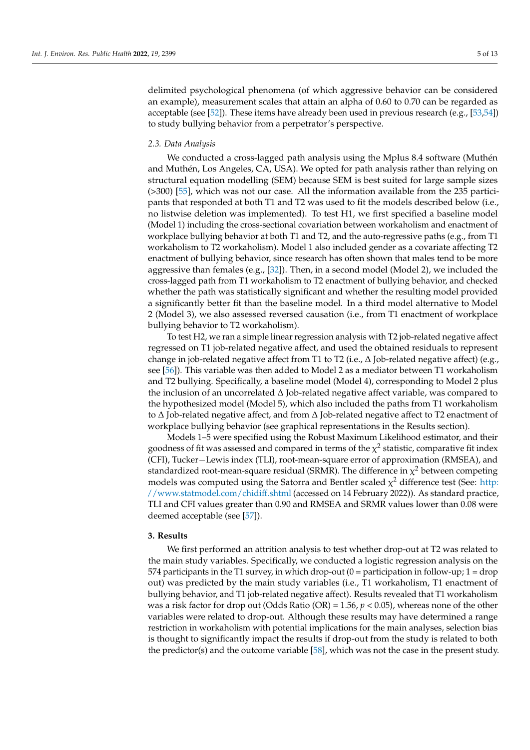delimited psychological phenomena (of which aggressive behavior can be considered an example), measurement scales that attain an alpha of 0.60 to 0.70 can be regarded as acceptable (see [\[52\]](#page-11-18)). These items have already been used in previous research (e.g., [\[53](#page-11-19)[,54\]](#page-11-20)) to study bullying behavior from a perpetrator's perspective.

#### *2.3. Data Analysis*

We conducted a cross-lagged path analysis using the Mplus 8.4 software (Muthén and Muthén, Los Angeles, CA, USA). We opted for path analysis rather than relying on structural equation modelling (SEM) because SEM is best suited for large sample sizes (>300) [\[55\]](#page-11-21), which was not our case. All the information available from the 235 participants that responded at both T1 and T2 was used to fit the models described below (i.e., no listwise deletion was implemented). To test H1, we first specified a baseline model (Model 1) including the cross-sectional covariation between workaholism and enactment of workplace bullying behavior at both T1 and T2, and the auto-regressive paths (e.g., from T1 workaholism to T2 workaholism). Model 1 also included gender as a covariate affecting T2 enactment of bullying behavior, since research has often shown that males tend to be more aggressive than females (e.g.,  $[32]$ ). Then, in a second model (Model 2), we included the cross-lagged path from T1 workaholism to T2 enactment of bullying behavior, and checked whether the path was statistically significant and whether the resulting model provided a significantly better fit than the baseline model. In a third model alternative to Model 2 (Model 3), we also assessed reversed causation (i.e., from T1 enactment of workplace bullying behavior to T2 workaholism).

To test H2, we ran a simple linear regression analysis with T2 job-related negative affect regressed on T1 job-related negative affect, and used the obtained residuals to represent change in job-related negative affect from T1 to T2 (i.e.,  $\Delta$  Job-related negative affect) (e.g., see [\[56\]](#page-11-22)). This variable was then added to Model 2 as a mediator between T1 workaholism and T2 bullying. Specifically, a baseline model (Model 4), corresponding to Model 2 plus the inclusion of an uncorrelated ∆ Job-related negative affect variable, was compared to the hypothesized model (Model 5), which also included the paths from T1 workaholism to ∆ Job-related negative affect, and from ∆ Job-related negative affect to T2 enactment of workplace bullying behavior (see graphical representations in the Results section).

Models 1–5 were specified using the Robust Maximum Likelihood estimator, and their goodness of fit was assessed and compared in terms of the  $\chi^2$  statistic, comparative fit index (CFI), Tucker−Lewis index (TLI), root-mean-square error of approximation (RMSEA), and standardized root-mean-square residual (SRMR). The difference in  $\chi^2$  between competing models was computed using the Satorra and Bentler scaled  $\chi^2$  difference test (See: [http:](http://www.statmodel.com/chidiff.shtml) [//www.statmodel.com/chidiff.shtml](http://www.statmodel.com/chidiff.shtml) (accessed on 14 February 2022)). As standard practice, TLI and CFI values greater than 0.90 and RMSEA and SRMR values lower than 0.08 were deemed acceptable (see [\[57\]](#page-11-23)).

#### **3. Results**

We first performed an attrition analysis to test whether drop-out at T2 was related to the main study variables. Specifically, we conducted a logistic regression analysis on the 574 participants in the T1 survey, in which drop-out  $(0 =$  participation in follow-up;  $1 =$  drop out) was predicted by the main study variables (i.e., T1 workaholism, T1 enactment of bullying behavior, and T1 job-related negative affect). Results revealed that T1 workaholism was a risk factor for drop out (Odds Ratio (OR) = 1.56, *p* < 0.05), whereas none of the other variables were related to drop-out. Although these results may have determined a range restriction in workaholism with potential implications for the main analyses, selection bias is thought to significantly impact the results if drop-out from the study is related to both the predictor(s) and the outcome variable  $[58]$ , which was not the case in the present study.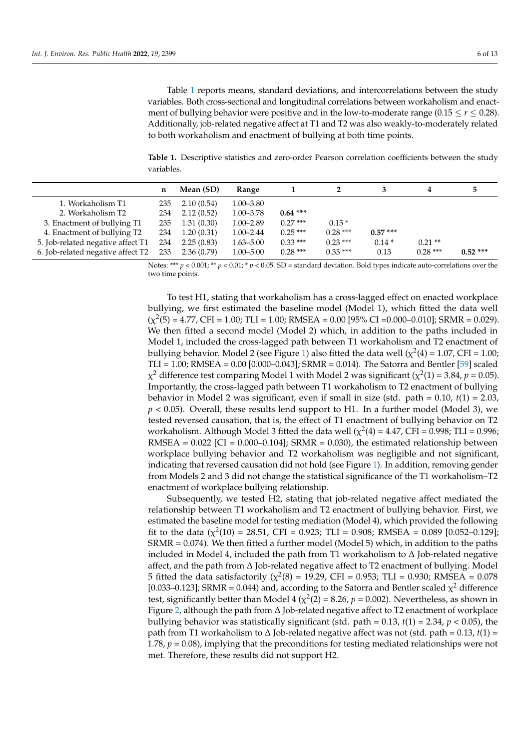Table [1](#page-5-0) reports means, standard deviations, and intercorrelations between the study variables. Both cross-sectional and longitudinal correlations between workaholism and enactment of bullying behavior were positive and in the low-to-moderate range (0.15  $\leq$   $r \leq$  0.28). Additionally, job-related negative affect at T1 and T2 was also weakly-to-moderately related to both workaholism and enactment of bullying at both time points.

<span id="page-5-0"></span>**Table 1.** Descriptive statistics and zero-order Pearson correlation coefficients between the study variables.

|                                   | n   | Mean (SD)  | Range         |            |           |           | 4         |            |
|-----------------------------------|-----|------------|---------------|------------|-----------|-----------|-----------|------------|
| 1. Workaholism T1                 | 235 | 2.10(0.54) | $1.00 - 3.80$ |            |           |           |           |            |
| 2. Workaholism T2                 | 234 | 2.12(0.52) | $1.00 - 3.78$ | $0.64$ *** |           |           |           |            |
| 3. Enactment of bullying T1       | 235 | 1.31(0.30) | $1.00 - 2.89$ | $0.27***$  | $0.15*$   |           |           |            |
| 4. Enactment of bullying T2       | 234 | 1.20(0.31) | $1.00 - 2.44$ | $0.25***$  | $0.28***$ | $0.57***$ |           |            |
| 5. Job-related negative affect T1 | 234 | 2.25(0.83) | $1.63 - 5.00$ | $0.33***$  | $0.23***$ | $0.14*$   | $0.21**$  |            |
| 6. Job-related negative affect T2 | 233 | 2.36(0.79) | $1.00 - 5.00$ | $0.28***$  | $0.33***$ | 0.13      | $0.28***$ | $0.52$ *** |

Notes: \*\*\*  $p < 0.001$ ; \*\*  $p < 0.01$ ; \*  $p < 0.05$ . SD = standard deviation. Bold types indicate auto-correlations over the two time points.

To test H1, stating that workaholism has a cross-lagged effect on enacted workplace bullying, we first estimated the baseline model (Model 1), which fitted the data well  $(\chi^2(5) = 4.77$ , CFI = 1.00; TLI = 1.00; RMSEA = 0.00 [95% CI = 0.000 - 0.010]; SRMR = 0.029). We then fitted a second model (Model 2) which, in addition to the paths included in Model 1, included the cross-lagged path between T1 workaholism and T2 enactment of bullying behavior. Model 2 (see Figure [1\)](#page-6-0) also fitted the data well ( $\chi^2(4)$  = 1.07, CFI = 1.00; TLI = 1.00; RMSEA =  $0.00$  [0.000–0.043]; SRMR =  $0.014$ ). The Satorra and Bentler [\[59\]](#page-11-25) scaled  $\chi^2$  difference test comparing Model 1 with Model 2 was significant ( $\chi^2(1)$  = 3.84,  $p$  = 0.05). Importantly, the cross-lagged path between T1 workaholism to T2 enactment of bullying behavior in Model 2 was significant, even if small in size (std. path = 0.10, *t*(1) = 2.03, *p* < 0.05). Overall, these results lend support to H1. In a further model (Model 3), we tested reversed causation, that is, the effect of T1 enactment of bullying behavior on T2 workaholism. Although Model 3 fitted the data well ( $\chi^2(4)$  = 4.47, CFI = 0.998; TLI = 0.996; RMSEA =  $0.022$  [CI =  $0.000$ – $0.104$ ]; SRMR =  $0.030$ ), the estimated relationship between workplace bullying behavior and T2 workaholism was negligible and not significant, indicating that reversed causation did not hold (see Figure [1\)](#page-6-0). In addition, removing gender from Models 2 and 3 did not change the statistical significance of the T1 workaholism–T2 enactment of workplace bullying relationship.

Subsequently, we tested H2, stating that job-related negative affect mediated the relationship between T1 workaholism and T2 enactment of bullying behavior. First, we estimated the baseline model for testing mediation (Model 4), which provided the following fit to the data ( $\chi^2(10) = 28.51$ , CFI = 0.923; TLI = 0.908; RMSEA = 0.089 [0.052–0.129]; SRMR = 0.074). We then fitted a further model (Model 5) which, in addition to the paths included in Model 4, included the path from T1 workaholism to  $\Delta$  Job-related negative affect, and the path from ∆ Job-related negative affect to T2 enactment of bullying. Model 5 fitted the data satisfactorily ( $\chi^2(8)$  = 19.29, CFI = 0.953; TLI = 0.930; RMSEA = 0.078 [0.033–0.123]; SRMR = 0.044) and, according to the Satorra and Bentler scaled  $\chi^2$  difference test, significantly better than Model 4 ( $\chi^2(2)$  = 8.26,  $p$  = 0.002). Nevertheless, as shown in Figure [2,](#page-6-1) although the path from ∆ Job-related negative affect to T2 enactment of workplace bullying behavior was statistically significant (std. path =  $0.13$ ,  $t(1) = 2.34$ ,  $p < 0.05$ ), the path from T1 workaholism to ∆ Job-related negative affect was not (std. path = 0.13, *t*(1) = 1.78, *p* = 0.08), implying that the preconditions for testing mediated relationships were not met. Therefore, these results did not support H2.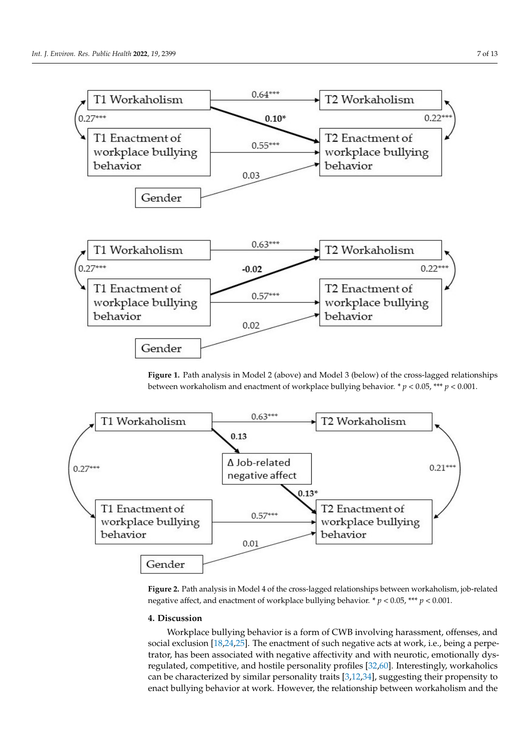<span id="page-6-0"></span>

<span id="page-6-1"></span>**Figure 1.** Path analysis in Model 2 (above) and Model 3 (below) of the cross-lagged relationships between workaholism and enactment of workplace bullying behavior. \* *p* < 0.05, \*\*\* *p* < 0.001. between workaholism and enactment of workplace bullying behavior. \* *p* < 0.05, \*\*\* *p* < 0.001.



Figure 2. Path analysis in Model 4 of the cross-lagged relationships between workaholism, job-related negative affect, and enactment of workplace bullying behavior.  $p < 0.05$ , \*\*\*  $p < 0.001$ .

#### lated negative affect, and enactment of workplace bullying behavior. \* *p* < 0.05, \*\*\* *p* < 0.001. **4. Discussion**

 $\frac{1}{2}$  for the characteristic bullet in value of  $\frac{1}{2}$  is a form of  $\frac{1}{2}$  for  $\frac{1}{2}$  for  $\frac{1}{2}$  for  $\frac{1}{2}$  for  $\frac{1}{2}$  for  $\frac{1}{2}$  for  $\frac{1}{2}$  for  $\frac{1}{2}$  for  $\frac{1}{2}$  for  $\frac{1}{2}$  for  $\frac{1}{$ regulated, competitive, and hostile personality profiles [\[32](#page-10-19)[,60\]](#page-11-26). Interestingly, workaholics can be characterized by similar personality traits [\[3,](#page-9-1)[12,](#page-10-3)[34\]](#page-11-0), suggesting their propensity to enact bullying behavior at work. However, the relationship between workaholism and the Workplace bullying behavior is a form of CWB involving harassment, offenses, and social exclusion [\[18,](#page-10-9)[24](#page-10-13)[,25\]](#page-10-14). The enactment of such negative acts at work, i.e., being a perpe-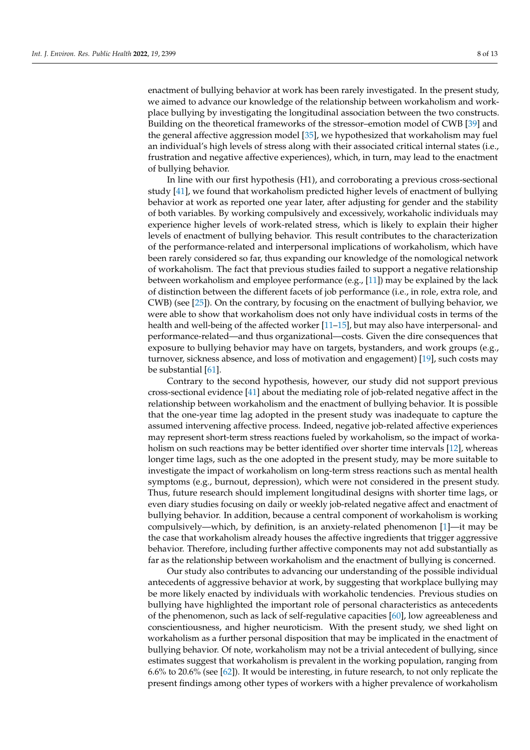enactment of bullying behavior at work has been rarely investigated. In the present study, we aimed to advance our knowledge of the relationship between workaholism and workplace bullying by investigating the longitudinal association between the two constructs. Building on the theoretical frameworks of the stressor–emotion model of CWB [\[39\]](#page-11-5) and the general affective aggression model [\[35\]](#page-11-1), we hypothesized that workaholism may fuel an individual's high levels of stress along with their associated critical internal states (i.e., frustration and negative affective experiences), which, in turn, may lead to the enactment of bullying behavior.

In line with our first hypothesis (H1), and corroborating a previous cross-sectional study [\[41\]](#page-11-7), we found that workaholism predicted higher levels of enactment of bullying behavior at work as reported one year later, after adjusting for gender and the stability of both variables. By working compulsively and excessively, workaholic individuals may experience higher levels of work-related stress, which is likely to explain their higher levels of enactment of bullying behavior. This result contributes to the characterization of the performance-related and interpersonal implications of workaholism, which have been rarely considered so far, thus expanding our knowledge of the nomological network of workaholism. The fact that previous studies failed to support a negative relationship between workaholism and employee performance (e.g., [\[11\]](#page-10-2)) may be explained by the lack of distinction between the different facets of job performance (i.e., in role, extra role, and CWB) (see [\[25\]](#page-10-14)). On the contrary, by focusing on the enactment of bullying behavior, we were able to show that workaholism does not only have individual costs in terms of the health and well-being of the affected worker [\[11](#page-10-2)[–15\]](#page-10-6), but may also have interpersonal- and performance-related—and thus organizational—costs. Given the dire consequences that exposure to bullying behavior may have on targets, bystanders, and work groups (e.g., turnover, sickness absence, and loss of motivation and engagement) [\[19\]](#page-10-10), such costs may be substantial [\[61\]](#page-11-27).

Contrary to the second hypothesis, however, our study did not support previous cross-sectional evidence [\[41\]](#page-11-7) about the mediating role of job-related negative affect in the relationship between workaholism and the enactment of bullying behavior. It is possible that the one-year time lag adopted in the present study was inadequate to capture the assumed intervening affective process. Indeed, negative job-related affective experiences may represent short-term stress reactions fueled by workaholism, so the impact of workaholism on such reactions may be better identified over shorter time intervals [\[12\]](#page-10-3), whereas longer time lags, such as the one adopted in the present study, may be more suitable to investigate the impact of workaholism on long-term stress reactions such as mental health symptoms (e.g., burnout, depression), which were not considered in the present study. Thus, future research should implement longitudinal designs with shorter time lags, or even diary studies focusing on daily or weekly job-related negative affect and enactment of bullying behavior. In addition, because a central component of workaholism is working compulsively—which, by definition, is an anxiety-related phenomenon [\[1\]](#page-9-0)—it may be the case that workaholism already houses the affective ingredients that trigger aggressive behavior. Therefore, including further affective components may not add substantially as far as the relationship between workaholism and the enactment of bullying is concerned.

Our study also contributes to advancing our understanding of the possible individual antecedents of aggressive behavior at work, by suggesting that workplace bullying may be more likely enacted by individuals with workaholic tendencies. Previous studies on bullying have highlighted the important role of personal characteristics as antecedents of the phenomenon, such as lack of self-regulative capacities [\[60\]](#page-11-26), low agreeableness and conscientiousness, and higher neuroticism. With the present study, we shed light on workaholism as a further personal disposition that may be implicated in the enactment of bullying behavior. Of note, workaholism may not be a trivial antecedent of bullying, since estimates suggest that workaholism is prevalent in the working population, ranging from 6.6% to 20.6% (see [\[62\]](#page-11-28)). It would be interesting, in future research, to not only replicate the present findings among other types of workers with a higher prevalence of workaholism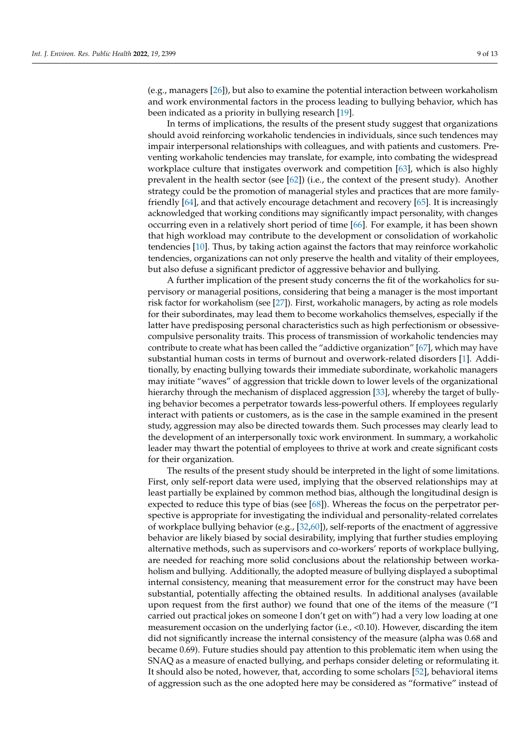(e.g., managers [\[26\]](#page-10-15)), but also to examine the potential interaction between workaholism and work environmental factors in the process leading to bullying behavior, which has been indicated as a priority in bullying research [\[19\]](#page-10-10).

In terms of implications, the results of the present study suggest that organizations should avoid reinforcing workaholic tendencies in individuals, since such tendences may impair interpersonal relationships with colleagues, and with patients and customers. Preventing workaholic tendencies may translate, for example, into combating the widespread workplace culture that instigates overwork and competition [\[63\]](#page-12-0), which is also highly prevalent in the health sector (see [\[62\]](#page-11-28)) (i.e., the context of the present study). Another strategy could be the promotion of managerial styles and practices that are more familyfriendly [\[64\]](#page-12-1), and that actively encourage detachment and recovery [\[65\]](#page-12-2). It is increasingly acknowledged that working conditions may significantly impact personality, with changes occurring even in a relatively short period of time [\[66\]](#page-12-3). For example, it has been shown that high workload may contribute to the development or consolidation of workaholic tendencies [\[10\]](#page-10-1). Thus, by taking action against the factors that may reinforce workaholic tendencies, organizations can not only preserve the health and vitality of their employees, but also defuse a significant predictor of aggressive behavior and bullying.

A further implication of the present study concerns the fit of the workaholics for supervisory or managerial positions, considering that being a manager is the most important risk factor for workaholism (see [\[27\]](#page-10-16)). First, workaholic managers, by acting as role models for their subordinates, may lead them to become workaholics themselves, especially if the latter have predisposing personal characteristics such as high perfectionism or obsessivecompulsive personality traits. This process of transmission of workaholic tendencies may contribute to create what has been called the "addictive organization" [\[67\]](#page-12-4), which may have substantial human costs in terms of burnout and overwork-related disorders [\[1\]](#page-9-0). Additionally, by enacting bullying towards their immediate subordinate, workaholic managers may initiate "waves" of aggression that trickle down to lower levels of the organizational hierarchy through the mechanism of displaced aggression [\[33\]](#page-10-20), whereby the target of bullying behavior becomes a perpetrator towards less-powerful others. If employees regularly interact with patients or customers, as is the case in the sample examined in the present study, aggression may also be directed towards them. Such processes may clearly lead to the development of an interpersonally toxic work environment. In summary, a workaholic leader may thwart the potential of employees to thrive at work and create significant costs for their organization.

The results of the present study should be interpreted in the light of some limitations. First, only self-report data were used, implying that the observed relationships may at least partially be explained by common method bias, although the longitudinal design is expected to reduce this type of bias (see [\[68\]](#page-12-5)). Whereas the focus on the perpetrator perspective is appropriate for investigating the individual and personality-related correlates of workplace bullying behavior (e.g., [\[32,](#page-10-19)[60\]](#page-11-26)), self-reports of the enactment of aggressive behavior are likely biased by social desirability, implying that further studies employing alternative methods, such as supervisors and co-workers' reports of workplace bullying, are needed for reaching more solid conclusions about the relationship between workaholism and bullying. Additionally, the adopted measure of bullying displayed a suboptimal internal consistency, meaning that measurement error for the construct may have been substantial, potentially affecting the obtained results. In additional analyses (available upon request from the first author) we found that one of the items of the measure ("I carried out practical jokes on someone I don't get on with") had a very low loading at one measurement occasion on the underlying factor (i.e., <0.10). However, discarding the item did not significantly increase the internal consistency of the measure (alpha was 0.68 and became 0.69). Future studies should pay attention to this problematic item when using the SNAQ as a measure of enacted bullying, and perhaps consider deleting or reformulating it. It should also be noted, however, that, according to some scholars [\[52\]](#page-11-18), behavioral items of aggression such as the one adopted here may be considered as "formative" instead of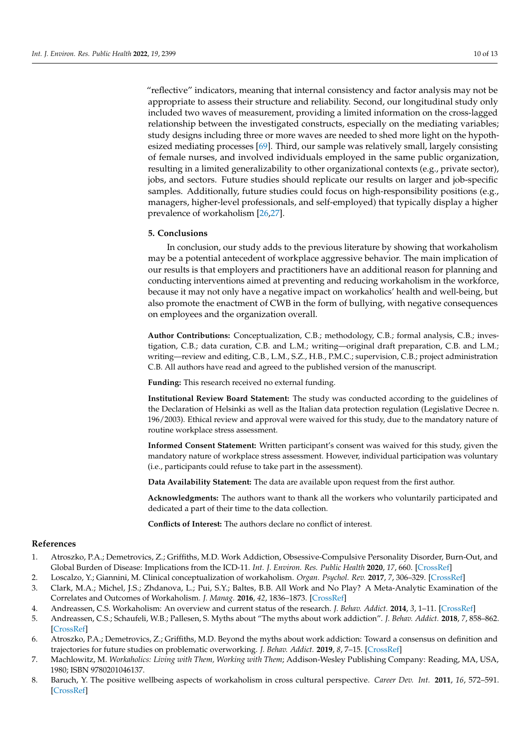"reflective" indicators, meaning that internal consistency and factor analysis may not be appropriate to assess their structure and reliability. Second, our longitudinal study only included two waves of measurement, providing a limited information on the cross-lagged relationship between the investigated constructs, especially on the mediating variables; study designs including three or more waves are needed to shed more light on the hypothesized mediating processes [\[69\]](#page-12-6). Third, our sample was relatively small, largely consisting of female nurses, and involved individuals employed in the same public organization, resulting in a limited generalizability to other organizational contexts (e.g., private sector), jobs, and sectors. Future studies should replicate our results on larger and job-specific samples. Additionally, future studies could focus on high-responsibility positions (e.g., managers, higher-level professionals, and self-employed) that typically display a higher prevalence of workaholism [\[26,](#page-10-15)[27\]](#page-10-16).

## **5. Conclusions**

In conclusion, our study adds to the previous literature by showing that workaholism may be a potential antecedent of workplace aggressive behavior. The main implication of our results is that employers and practitioners have an additional reason for planning and conducting interventions aimed at preventing and reducing workaholism in the workforce, because it may not only have a negative impact on workaholics' health and well-being, but also promote the enactment of CWB in the form of bullying, with negative consequences on employees and the organization overall.

**Author Contributions:** Conceptualization, C.B.; methodology, C.B.; formal analysis, C.B.; investigation, C.B.; data curation, C.B. and L.M.; writing—original draft preparation, C.B. and L.M.; writing—review and editing, C.B., L.M., S.Z., H.B., P.M.C.; supervision, C.B.; project administration C.B. All authors have read and agreed to the published version of the manuscript.

**Funding:** This research received no external funding.

**Institutional Review Board Statement:** The study was conducted according to the guidelines of the Declaration of Helsinki as well as the Italian data protection regulation (Legislative Decree n. 196/2003). Ethical review and approval were waived for this study, due to the mandatory nature of routine workplace stress assessment.

**Informed Consent Statement:** Written participant's consent was waived for this study, given the mandatory nature of workplace stress assessment. However, individual participation was voluntary (i.e., participants could refuse to take part in the assessment).

**Data Availability Statement:** The data are available upon request from the first author.

**Acknowledgments:** The authors want to thank all the workers who voluntarily participated and dedicated a part of their time to the data collection.

**Conflicts of Interest:** The authors declare no conflict of interest.

#### **References**

- <span id="page-9-0"></span>1. Atroszko, P.A.; Demetrovics, Z.; Griffiths, M.D. Work Addiction, Obsessive-Compulsive Personality Disorder, Burn-Out, and Global Burden of Disease: Implications from the ICD-11. *Int. J. Environ. Res. Public Health* **2020**, *17*, 660. [\[CrossRef\]](http://doi.org/10.3390/ijerph17020660)
- <span id="page-9-2"></span>2. Loscalzo, Y.; Giannini, M. Clinical conceptualization of workaholism. *Organ. Psychol. Rev.* **2017**, *7*, 306–329. [\[CrossRef\]](http://doi.org/10.1177/2041386617734299)
- <span id="page-9-1"></span>3. Clark, M.A.; Michel, J.S.; Zhdanova, L.; Pui, S.Y.; Baltes, B.B. All Work and No Play? A Meta-Analytic Examination of the Correlates and Outcomes of Workaholism. *J. Manag.* **2016**, *42*, 1836–1873. [\[CrossRef\]](http://doi.org/10.1177/0149206314522301)
- <span id="page-9-3"></span>4. Andreassen, C.S. Workaholism: An overview and current status of the research. *J. Behav. Addict.* **2014**, *3*, 1–11. [\[CrossRef\]](http://doi.org/10.1556/JBA.2.2013.017)
- <span id="page-9-7"></span>5. Andreassen, C.S.; Schaufeli, W.B.; Pallesen, S. Myths about "The myths about work addiction". *J. Behav. Addict.* **2018**, *7*, 858–862. [\[CrossRef\]](http://doi.org/10.1556/2006.7.2018.126)
- <span id="page-9-4"></span>6. Atroszko, P.A.; Demetrovics, Z.; Griffiths, M.D. Beyond the myths about work addiction: Toward a consensus on definition and trajectories for future studies on problematic overworking. *J. Behav. Addict.* **2019**, *8*, 7–15. [\[CrossRef\]](http://doi.org/10.1556/2006.8.2019.11)
- <span id="page-9-5"></span>7. Machlowitz, M. *Workaholics: Living with Them, Working with Them*; Addison-Wesley Publishing Company: Reading, MA, USA, 1980; ISBN 9780201046137.
- <span id="page-9-6"></span>8. Baruch, Y. The positive wellbeing aspects of workaholism in cross cultural perspective. *Career Dev. Int.* **2011**, *16*, 572–591. [\[CrossRef\]](http://doi.org/10.1108/13620431111178335)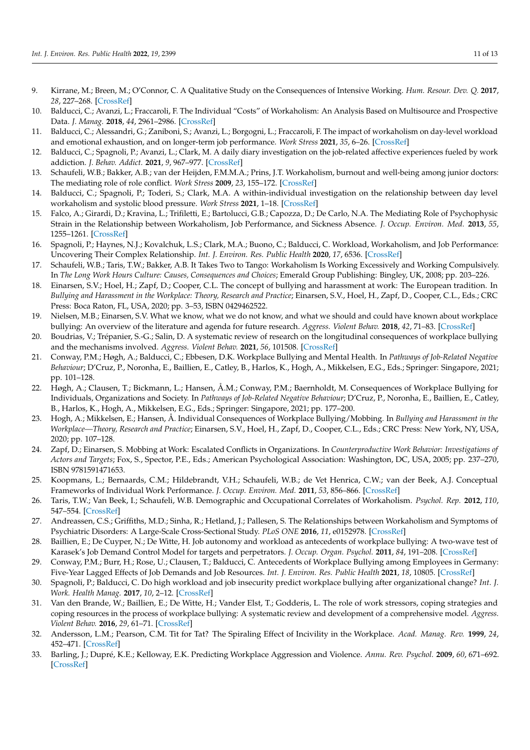- <span id="page-10-0"></span>9. Kirrane, M.; Breen, M.; O'Connor, C. A Qualitative Study on the Consequences of Intensive Working. *Hum. Resour. Dev. Q.* **2017**, *28*, 227–268. [\[CrossRef\]](http://doi.org/10.1002/hrdq.21284)
- <span id="page-10-1"></span>10. Balducci, C.; Avanzi, L.; Fraccaroli, F. The Individual "Costs" of Workaholism: An Analysis Based on Multisource and Prospective Data. *J. Manag.* **2018**, *44*, 2961–2986. [\[CrossRef\]](http://doi.org/10.1177/0149206316658348)
- <span id="page-10-2"></span>11. Balducci, C.; Alessandri, G.; Zaniboni, S.; Avanzi, L.; Borgogni, L.; Fraccaroli, F. The impact of workaholism on day-level workload and emotional exhaustion, and on longer-term job performance. *Work Stress* **2021**, *35*, 6–26. [\[CrossRef\]](http://doi.org/10.1080/02678373.2020.1735569)
- <span id="page-10-3"></span>12. Balducci, C.; Spagnoli, P.; Avanzi, L.; Clark, M. A daily diary investigation on the job-related affective experiences fueled by work addiction. *J. Behav. Addict.* **2021**, *9*, 967–977. [\[CrossRef\]](http://doi.org/10.1556/2006.2020.00102)
- <span id="page-10-4"></span>13. Schaufeli, W.B.; Bakker, A.B.; van der Heijden, F.M.M.A.; Prins, J.T. Workaholism, burnout and well-being among junior doctors: The mediating role of role conflict. *Work Stress* **2009**, *23*, 155–172. [\[CrossRef\]](http://doi.org/10.1080/02678370902834021)
- <span id="page-10-5"></span>14. Balducci, C.; Spagnoli, P.; Toderi, S.; Clark, M.A. A within-individual investigation on the relationship between day level workaholism and systolic blood pressure. *Work Stress* **2021**, 1–18. [\[CrossRef\]](http://doi.org/10.1080/02678373.2021.1976883)
- <span id="page-10-6"></span>15. Falco, A.; Girardi, D.; Kravina, L.; Trifiletti, E.; Bartolucci, G.B.; Capozza, D.; De Carlo, N.A. The Mediating Role of Psychophysic Strain in the Relationship between Workaholism, Job Performance, and Sickness Absence. *J. Occup. Environ. Med.* **2013**, *55*, 1255–1261. [\[CrossRef\]](http://doi.org/10.1097/JOM.0000000000000007)
- <span id="page-10-7"></span>16. Spagnoli, P.; Haynes, N.J.; Kovalchuk, L.S.; Clark, M.A.; Buono, C.; Balducci, C. Workload, Workaholism, and Job Performance: Uncovering Their Complex Relationship. *Int. J. Environ. Res. Public Health* **2020**, *17*, 6536. [\[CrossRef\]](http://doi.org/10.3390/ijerph17186536)
- <span id="page-10-8"></span>17. Schaufeli, W.B.; Taris, T.W.; Bakker, A.B. It Takes Two to Tango: Workaholism Is Working Excessively and Working Compulsively. In *The Long Work Hours Culture: Causes, Consequences and Choices*; Emerald Group Publishing: Bingley, UK, 2008; pp. 203–226.
- <span id="page-10-9"></span>18. Einarsen, S.V.; Hoel, H.; Zapf, D.; Cooper, C.L. The concept of bullying and harassment at work: The European tradition. In *Bullying and Harassment in the Workplace: Theory, Research and Practice*; Einarsen, S.V., Hoel, H., Zapf, D., Cooper, C.L., Eds.; CRC Press: Boca Raton, FL, USA, 2020; pp. 3–53, ISBN 0429462522.
- <span id="page-10-10"></span>19. Nielsen, M.B.; Einarsen, S.V. What we know, what we do not know, and what we should and could have known about workplace bullying: An overview of the literature and agenda for future research. *Aggress. Violent Behav.* **2018**, *42*, 71–83. [\[CrossRef\]](http://doi.org/10.1016/j.avb.2018.06.007)
- <span id="page-10-11"></span>20. Boudrias, V.; Trépanier, S.-G.; Salin, D. A systematic review of research on the longitudinal consequences of workplace bullying and the mechanisms involved. *Aggress. Violent Behav.* **2021**, *56*, 101508. [\[CrossRef\]](http://doi.org/10.1016/j.avb.2020.101508)
- 21. Conway, P.M.; Høgh, A.; Balducci, C.; Ebbesen, D.K. Workplace Bullying and Mental Health. In *Pathways of Job-Related Negative Behaviour*; D'Cruz, P., Noronha, E., Baillien, E., Catley, B., Harlos, K., Hogh, A., Mikkelsen, E.G., Eds.; Springer: Singapore, 2021; pp. 101–128.
- 22. Høgh, A.; Clausen, T.; Bickmann, L.; Hansen, Å.M.; Conway, P.M.; Baernholdt, M. Consequences of Workplace Bullying for Individuals, Organizations and Society. In *Pathways of Job-Related Negative Behaviour*; D'Cruz, P., Noronha, E., Baillien, E., Catley, B., Harlos, K., Hogh, A., Mikkelsen, E.G., Eds.; Springer: Singapore, 2021; pp. 177–200.
- <span id="page-10-12"></span>23. Hogh, A.; Mikkelsen, E.; Hansen, Å. Individual Consequences of Workplace Bullying/Mobbing. In *Bullying and Harassment in the Workplace—Theory, Research and Practice*; Einarsen, S.V., Hoel, H., Zapf, D., Cooper, C.L., Eds.; CRC Press: New York, NY, USA, 2020; pp. 107–128.
- <span id="page-10-13"></span>24. Zapf, D.; Einarsen, S. Mobbing at Work: Escalated Conflicts in Organizations. In *Counterproductive Work Behavior: Investigations of Actors and Targets*; Fox, S., Spector, P.E., Eds.; American Psychological Association: Washington, DC, USA, 2005; pp. 237–270, ISBN 9781591471653.
- <span id="page-10-14"></span>25. Koopmans, L.; Bernaards, C.M.; Hildebrandt, V.H.; Schaufeli, W.B.; de Vet Henrica, C.W.; van der Beek, A.J. Conceptual Frameworks of Individual Work Performance. *J. Occup. Environ. Med.* **2011**, *53*, 856–866. [\[CrossRef\]](http://doi.org/10.1097/JOM.0b013e318226a763)
- <span id="page-10-15"></span>26. Taris, T.W.; Van Beek, I.; Schaufeli, W.B. Demographic and Occupational Correlates of Workaholism. *Psychol. Rep.* **2012**, *110*, 547–554. [\[CrossRef\]](http://doi.org/10.2466/03.09.17.PR0.110.2.547-554)
- <span id="page-10-16"></span>27. Andreassen, C.S.; Griffiths, M.D.; Sinha, R.; Hetland, J.; Pallesen, S. The Relationships between Workaholism and Symptoms of Psychiatric Disorders: A Large-Scale Cross-Sectional Study. *PLoS ONE* **2016**, *11*, e0152978. [\[CrossRef\]](http://doi.org/10.1371/journal.pone.0152978)
- <span id="page-10-17"></span>28. Baillien, E.; De Cuyper, N.; De Witte, H. Job autonomy and workload as antecedents of workplace bullying: A two-wave test of Karasek's Job Demand Control Model for targets and perpetrators. *J. Occup. Organ. Psychol.* **2011**, *84*, 191–208. [\[CrossRef\]](http://doi.org/10.1348/096317910X508371)
- 29. Conway, P.M.; Burr, H.; Rose, U.; Clausen, T.; Balducci, C. Antecedents of Workplace Bullying among Employees in Germany: Five-Year Lagged Effects of Job Demands and Job Resources. *Int. J. Environ. Res. Public Health* **2021**, *18*, 10805. [\[CrossRef\]](http://doi.org/10.3390/ijerph182010805)
- 30. Spagnoli, P.; Balducci, C. Do high workload and job insecurity predict workplace bullying after organizational change? *Int. J. Work. Health Manag.* **2017**, *10*, 2–12. [\[CrossRef\]](http://doi.org/10.1108/IJWHM-05-2016-0038)
- <span id="page-10-18"></span>31. Van den Brande, W.; Baillien, E.; De Witte, H.; Vander Elst, T.; Godderis, L. The role of work stressors, coping strategies and coping resources in the process of workplace bullying: A systematic review and development of a comprehensive model. *Aggress. Violent Behav.* **2016**, *29*, 61–71. [\[CrossRef\]](http://doi.org/10.1016/j.avb.2016.06.004)
- <span id="page-10-19"></span>32. Andersson, L.M.; Pearson, C.M. Tit for Tat? The Spiraling Effect of Incivility in the Workplace. *Acad. Manag. Rev.* **1999**, *24*, 452–471. [\[CrossRef\]](http://doi.org/10.2307/259136)
- <span id="page-10-20"></span>33. Barling, J.; Dupré, K.E.; Kelloway, E.K. Predicting Workplace Aggression and Violence. *Annu. Rev. Psychol.* **2009**, *60*, 671–692. [\[CrossRef\]](http://doi.org/10.1146/annurev.psych.60.110707.163629)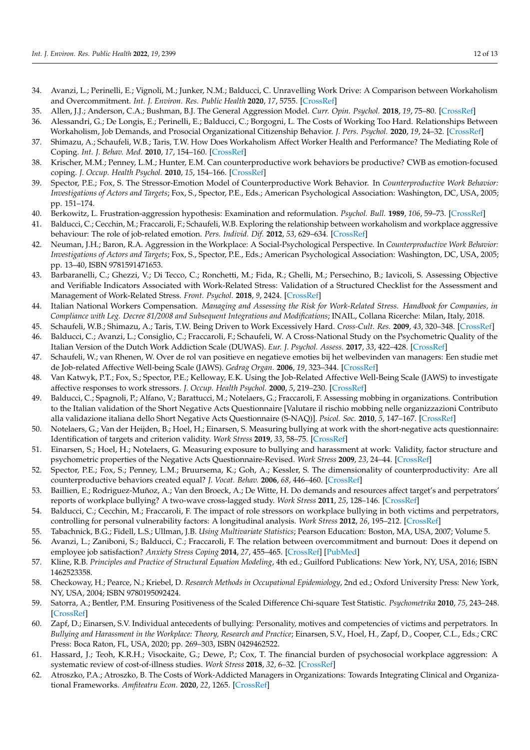- <span id="page-11-0"></span>34. Avanzi, L.; Perinelli, E.; Vignoli, M.; Junker, N.M.; Balducci, C. Unravelling Work Drive: A Comparison between Workaholism and Overcommitment. *Int. J. Environ. Res. Public Health* **2020**, *17*, 5755. [\[CrossRef\]](http://doi.org/10.3390/ijerph17165755)
- <span id="page-11-1"></span>35. Allen, J.J.; Anderson, C.A.; Bushman, B.J. The General Aggression Model. *Curr. Opin. Psychol.* **2018**, *19*, 75–80. [\[CrossRef\]](http://doi.org/10.1016/j.copsyc.2017.03.034)
- <span id="page-11-2"></span>36. Alessandri, G.; De Longis, E.; Perinelli, E.; Balducci, C.; Borgogni, L. The Costs of Working Too Hard. Relationships Between Workaholism, Job Demands, and Prosocial Organizational Citizenship Behavior. *J. Pers. Psychol.* **2020**, *19*, 24–32. [\[CrossRef\]](http://doi.org/10.1027/1866-5888/a000240)
- <span id="page-11-3"></span>37. Shimazu, A.; Schaufeli, W.B.; Taris, T.W. How Does Workaholism Affect Worker Health and Performance? The Mediating Role of Coping. *Int. J. Behav. Med.* **2010**, *17*, 154–160. [\[CrossRef\]](http://doi.org/10.1007/s12529-010-9077-x)
- <span id="page-11-4"></span>38. Krischer, M.M.; Penney, L.M.; Hunter, E.M. Can counterproductive work behaviors be productive? CWB as emotion-focused coping. *J. Occup. Health Psychol.* **2010**, *15*, 154–166. [\[CrossRef\]](http://doi.org/10.1037/a0018349)
- <span id="page-11-5"></span>39. Spector, P.E.; Fox, S. The Stressor-Emotion Model of Counterproductive Work Behavior. In *Counterproductive Work Behavior: Investigations of Actors and Targets*; Fox, S., Spector, P.E., Eds.; American Psychological Association: Washington, DC, USA, 2005; pp. 151–174.
- <span id="page-11-6"></span>40. Berkowitz, L. Frustration-aggression hypothesis: Examination and reformulation. *Psychol. Bull.* **1989**, *106*, 59–73. [\[CrossRef\]](http://doi.org/10.1037/0033-2909.106.1.59)
- <span id="page-11-7"></span>41. Balducci, C.; Cecchin, M.; Fraccaroli, F.; Schaufeli, W.B. Exploring the relationship between workaholism and workplace aggressive behaviour: The role of job-related emotion. *Pers. Individ. Dif.* **2012**, *53*, 629–634. [\[CrossRef\]](http://doi.org/10.1016/j.paid.2012.05.004)
- <span id="page-11-8"></span>42. Neuman, J.H.; Baron, R.A. Aggression in the Workplace: A Social-Psychological Perspective. In *Counterproductive Work Behavior: Investigations of Actors and Targets*; Fox, S., Spector, P.E., Eds.; American Psychological Association: Washington, DC, USA, 2005; pp. 13–40, ISBN 9781591471653.
- <span id="page-11-9"></span>43. Barbaranelli, C.; Ghezzi, V.; Di Tecco, C.; Ronchetti, M.; Fida, R.; Ghelli, M.; Persechino, B.; Iavicoli, S. Assessing Objective and Verifiable Indicators Associated with Work-Related Stress: Validation of a Structured Checklist for the Assessment and Management of Work-Related Stress. *Front. Psychol.* **2018**, *9*, 2424. [\[CrossRef\]](http://doi.org/10.3389/fpsyg.2018.02424)
- <span id="page-11-10"></span>44. Italian National Workers Compensation. *Managing and Assessing the Risk for Work-Related Stress. Handbook for Companies, in Compliance with Leg. Decree 81/2008 and Subsequent Integrations and Modifications*; INAIL, Collana Ricerche: Milan, Italy, 2018.
- <span id="page-11-11"></span>45. Schaufeli, W.B.; Shimazu, A.; Taris, T.W. Being Driven to Work Excessively Hard. *Cross-Cult. Res.* **2009**, *43*, 320–348. [\[CrossRef\]](http://doi.org/10.1177/1069397109337239)
- <span id="page-11-12"></span>46. Balducci, C.; Avanzi, L.; Consiglio, C.; Fraccaroli, F.; Schaufeli, W. A Cross-National Study on the Psychometric Quality of the Italian Version of the Dutch Work Addiction Scale (DUWAS). *Eur. J. Psychol. Assess.* **2017**, *33*, 422–428. [\[CrossRef\]](http://doi.org/10.1027/1015-5759/a000300)
- <span id="page-11-13"></span>47. Schaufeli, W.; van Rhenen, W. Over de rol van positieve en negatieve emoties bij het welbevinden van managers: Een studie met de Job-related Affective Well-being Scale (JAWS). *Gedrag Organ.* **2006**, *19*, 323–344. [\[CrossRef\]](http://doi.org/10.5117/2006.019.004.002)
- <span id="page-11-14"></span>48. Van Katwyk, P.T.; Fox, S.; Spector, P.E.; Kelloway, E.K. Using the Job-Related Affective Well-Being Scale (JAWS) to investigate affective responses to work stressors. *J. Occup. Health Psychol.* **2000**, *5*, 219–230. [\[CrossRef\]](http://doi.org/10.1037/1076-8998.5.2.219)
- <span id="page-11-15"></span>49. Balducci, C.; Spagnoli, P.; Alfano, V.; Barattucci, M.; Notelaers, G.; Fraccaroli, F. Assessing mobbing in organizations. Contribution to the Italian validation of the Short Negative Acts Questionnaire [Valutare il rischio mobbing nelle organizzazioni Contributo alla validazione italiana dello Short Negative Acts Questionnaire (S-NAQ)]. *Psicol. Soc.* **2010**, *5*, 147–167. [\[CrossRef\]](http://doi.org/10.1482/32024)
- <span id="page-11-16"></span>50. Notelaers, G.; Van der Heijden, B.; Hoel, H.; Einarsen, S. Measuring bullying at work with the short-negative acts questionnaire: Identification of targets and criterion validity. *Work Stress* **2019**, *33*, 58–75. [\[CrossRef\]](http://doi.org/10.1080/02678373.2018.1457736)
- <span id="page-11-17"></span>51. Einarsen, S.; Hoel, H.; Notelaers, G. Measuring exposure to bullying and harassment at work: Validity, factor structure and psychometric properties of the Negative Acts Questionnaire-Revised. *Work Stress* **2009**, *23*, 24–44. [\[CrossRef\]](http://doi.org/10.1080/02678370902815673)
- <span id="page-11-18"></span>52. Spector, P.E.; Fox, S.; Penney, L.M.; Bruursema, K.; Goh, A.; Kessler, S. The dimensionality of counterproductivity: Are all counterproductive behaviors created equal? *J. Vocat. Behav.* **2006**, *68*, 446–460. [\[CrossRef\]](http://doi.org/10.1016/j.jvb.2005.10.005)
- <span id="page-11-19"></span>53. Baillien, E.; Rodriguez-Muñoz, A.; Van den Broeck, A.; De Witte, H. Do demands and resources affect target's and perpetrators' reports of workplace bullying? A two-wave cross-lagged study. *Work Stress* **2011**, *25*, 128–146. [\[CrossRef\]](http://doi.org/10.1080/02678373.2011.591600)
- <span id="page-11-20"></span>54. Balducci, C.; Cecchin, M.; Fraccaroli, F. The impact of role stressors on workplace bullying in both victims and perpetrators, controlling for personal vulnerability factors: A longitudinal analysis. *Work Stress* **2012**, *26*, 195–212. [\[CrossRef\]](http://doi.org/10.1080/02678373.2012.714543)
- <span id="page-11-21"></span>55. Tabachnick, B.G.; Fidell, L.S.; Ullman, J.B. *Using Multivariate Statistics*; Pearson Education: Boston, MA, USA, 2007; Volume 5.
- <span id="page-11-22"></span>56. Avanzi, L.; Zaniboni, S.; Balducci, C.; Fraccaroli, F. The relation between overcommitment and burnout: Does it depend on employee job satisfaction? *Anxiety Stress Coping* **2014**, *27*, 455–465. [\[CrossRef\]](http://doi.org/10.1080/10615806.2013.866230) [\[PubMed\]](http://www.ncbi.nlm.nih.gov/pubmed/24245551)
- <span id="page-11-23"></span>57. Kline, R.B. *Principles and Practice of Structural Equation Modeling*, 4th ed.; Guilford Publications: New York, NY, USA, 2016; ISBN 1462523358.
- <span id="page-11-24"></span>58. Checkoway, H.; Pearce, N.; Kriebel, D. *Research Methods in Occupational Epidemiology*, 2nd ed.; Oxford University Press: New York, NY, USA, 2004; ISBN 9780195092424.
- <span id="page-11-25"></span>59. Satorra, A.; Bentler, P.M. Ensuring Positiveness of the Scaled Difference Chi-square Test Statistic. *Psychometrika* **2010**, *75*, 243–248. [\[CrossRef\]](http://doi.org/10.1007/s11336-009-9135-y)
- <span id="page-11-26"></span>60. Zapf, D.; Einarsen, S.V. Individual antecedents of bullying: Personality, motives and competencies of victims and perpetrators. In *Bullying and Harassment in the Workplace: Theory, Research and Practice*; Einarsen, S.V., Hoel, H., Zapf, D., Cooper, C.L., Eds.; CRC Press: Boca Raton, FL, USA, 2020; pp. 269–303, ISBN 0429462522.
- <span id="page-11-27"></span>61. Hassard, J.; Teoh, K.R.H.; Visockaite, G.; Dewe, P.; Cox, T. The financial burden of psychosocial workplace aggression: A systematic review of cost-of-illness studies. *Work Stress* **2018**, *32*, 6–32. [\[CrossRef\]](http://doi.org/10.1080/02678373.2017.1380726)
- <span id="page-11-28"></span>62. Atroszko, P.A.; Atroszko, B. The Costs of Work-Addicted Managers in Organizations: Towards Integrating Clinical and Organizational Frameworks. *Amfiteatru Econ.* **2020**, *22*, 1265. [\[CrossRef\]](http://doi.org/10.24818/EA/2020/S14/1265)